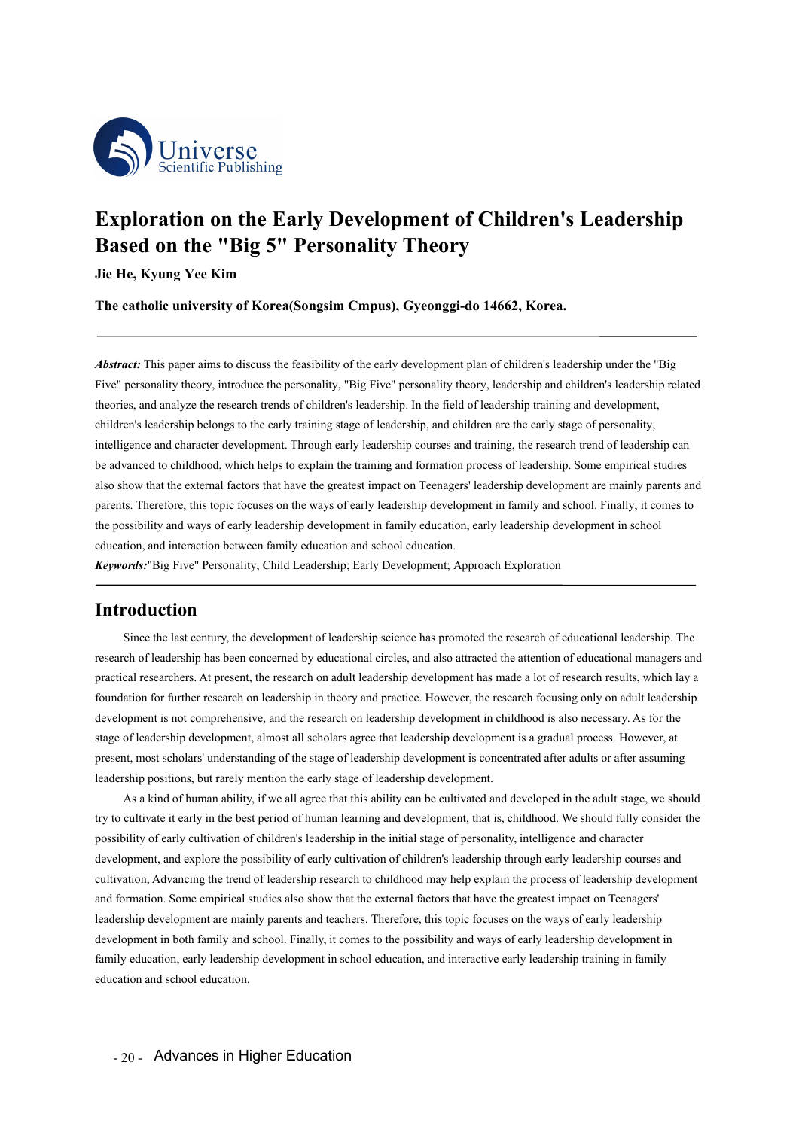

# **Exploration on the Early Development of Children's Leadership**<br> **Exploration on the Early Development of Children's Leadership**<br> **Based on the "Big 5" Personality Theory**<br>
Jie He, Kyung Yee Kim<br>
The catholic university of **Based on the Early Development of Children's Leadership<br>
Based on the "Big 5" Personality Theory<br>
Jie He, Kyung Yee Kim<br>
The catholic university of Korea(Songsim Cmpus), Gyeonggi-do 14662, Korea. Journal Separation Second Server Access Second Server Access Control Control Control Control Control Control Control Control Control Control Control Control Control Control Control Control Control Control Control Control The catholic Publishing**<br> **The catholic Publishing**<br> **The catholic university of Korea(Songsim Cmpus), Gyeonggi-do 14662, Korea.**<br> **The catholic university of Korea(Songsim Cmpus), Gyeonggi-do 14662, Korea.**<br> **Abstract:**

*Abstract:* This paper aims to discuss the feasibility of the early development plan of children's Leadership<br>*Abstract:* This paper aims to discuss the feasibility of the early development plan of children's leadership un **Exploration on the Early Development of Children's Leadership<br>
Based on the "Big 5" Personality Theory**<br>
Jie He, Kyung Yee Kim<br>
The catholic university of Korea(Songsim Cmpus), Gyeonggi-do 14662, Korea.<br> *Abstract:* This **EXECT ON ALL THEORY**<br> **Severalty Theory**<br>
Jie He, Kyung Yee Kim<br>
The catholic university of Korea(Songsim Cmpus), Gyeonggi-do 14662, Korea.<br> *Abstract:* This paper aims to discuss the feasibility of the early development **Example 19 FETSON SET THE SET THE SET THE EXECUTE THE CONDUCT STAGE THE CALCL AND THE CALCL ART THE CALCL ART THE CALCL ART THE CALCL ART THE CALCL ART THE PAPER THE CALCL ART THE PAPER THE PRESONAL ART THE PRESONAL ART Jie He, Kyung Yee Kim**<br> **The catholic university of Korea(Songsim Cmpus), Gyeonggi-do 14662, Korea.**<br> *Abstract:* **This paper aims to discuss the feasibility of the early development plan of children's leadership under th** The catholic university of Korea(Songsim Cmpus), Gyeonggi-do 14662, Korea.<br>
Abstract: This paper aims to discuss the feasibility of the early development plan of children's leadership under the "Big<br>
Five" personality theo **Abstract:** This paper aims to discuss the feasibility of the early development plan of children's leadership under the "Big Five" personality theory, irroduce the personality, "Big Five" personality theory, leadership and **Abstract:** This paper aims to discuss the feasibility of the early development plan of children's leadership under the "Big Five" personality theory, introduce the personality, "Big Five" personality theory, leadership an **Abstract:** This paper aims to discuss the feasibility of the early development plan of children's leadership under the "Big Five" presonality theory, intoduce the personality, "Big Five" personality theory, leadership and **Example:** This paper anns to uscuss the teasionity of the early development plan of cindiden's leadership<br>Five" personality theory, introduce the personality, "Big Five" personality theory, leadership and children's leade Five personality dieoty, intoduce the personality; Big Five personality theoty, readership raining and development, theories, and analyze the research trends of children's leadership. In the field of leadership training an vanced to childhood, which helps to explain the training and formation process of leadership. Some empirical studies<br>how that the external factors that have the greatest impact on Teenagers' leadership development are main

# **Introduction**

also show that the external factors that have the greatest impact on Teenagers' leadership development are mainly parents and<br>parents. Therefore, this topic focuses on the ways of early leadership development in family and parents. Therefore, this topic focuses on the ways of early leadership development in family and school. Finally, it comes to<br>the possibility and ways of early leadership development in family education, early leadership d the possibility and ways of early leadership development in family education, early leadership development in school<br>education, and interaction between family education and school education.<br>**Exponents:** "Big Five" Persona ducation, and interaction between family education and school education.<br> **Introduction**<br>
Since the last century, the development of leadership science has promoted the research of educational leadership. The<br>
research of **Expressively** Personality, Child Leadership, Early Development; Approach Exploration<br>
Since the last century, the development of leadership science has promoted the research of educational leadership. The<br>
research of lea **Introduction**<br>
Since the last century, the development of leadership science has promoted the research of educational leadership. The<br>
research of leadership has been concerned by educational circles, and also attracted t **Introduction**<br>Since the last century, the development of leadership science has promoted the research of educationa<br>research of leadership has been concerned by educational circles, and also attracted the attention of edu Since the last century, the development of leadership science has promoted the research of educational leadership. The<br>ch of leadership has been concerned by educational circles, and also attracted the attention of educati Since the rast century, the development of readership science has promoted the reterator of educational readership. The<br>Tresearch of leadership has been concerned by educational circles, and also attracted the attention of research or leadership has been concleared by educational crices, and also attacted the attention or educational managers and<br>practical researchs. At present, the research on addit leadership development has made a lot of

sibility of early cultivation of children's leadership in the initial stage of personality, intelligence allopment, and explore the possibility of early cultivation of children's leadership through early leivation, Advanci pracucal researchers. At present, the research on anti-teatership development has hade a lot of research results, which lay is<br>downdation for further research on leadership in theory and practice. However, the research foc oundation to further research on leadership in theory and practice. Flowever, the research focusing only on addit readership development is one the research of leadership development is a gradual process. However, at prese dedership development are mainly parents and technical studies are the dearchip development in chinatoo is also incessary. As for the present, most be completed in chinat all stolars are the leadership development is a gra stage of leadership development, almost an scholars agete utat leadership development is a gradual process. However, at<br>present, most scholars' understanding of the stage of leadership development is concentrated after adu present, most schoolars understanding of the stage of readership development is concentrated after addins of atter assuming<br>leadership positions, but rarely mention the eraly stage of leadership development.<br>As a kind of h readership positions, out rately including the early stage of readership development.<br>
As a kind of human ability, if we all agree that this ability can be cultivated and developed in the adult stage, we should<br>
Ly to cult As a kind of numal ability, if we all agree that this ability to cultivate it early in the best period of human learning a possibility of early cultivation of children's leadership in the development, and explore the possi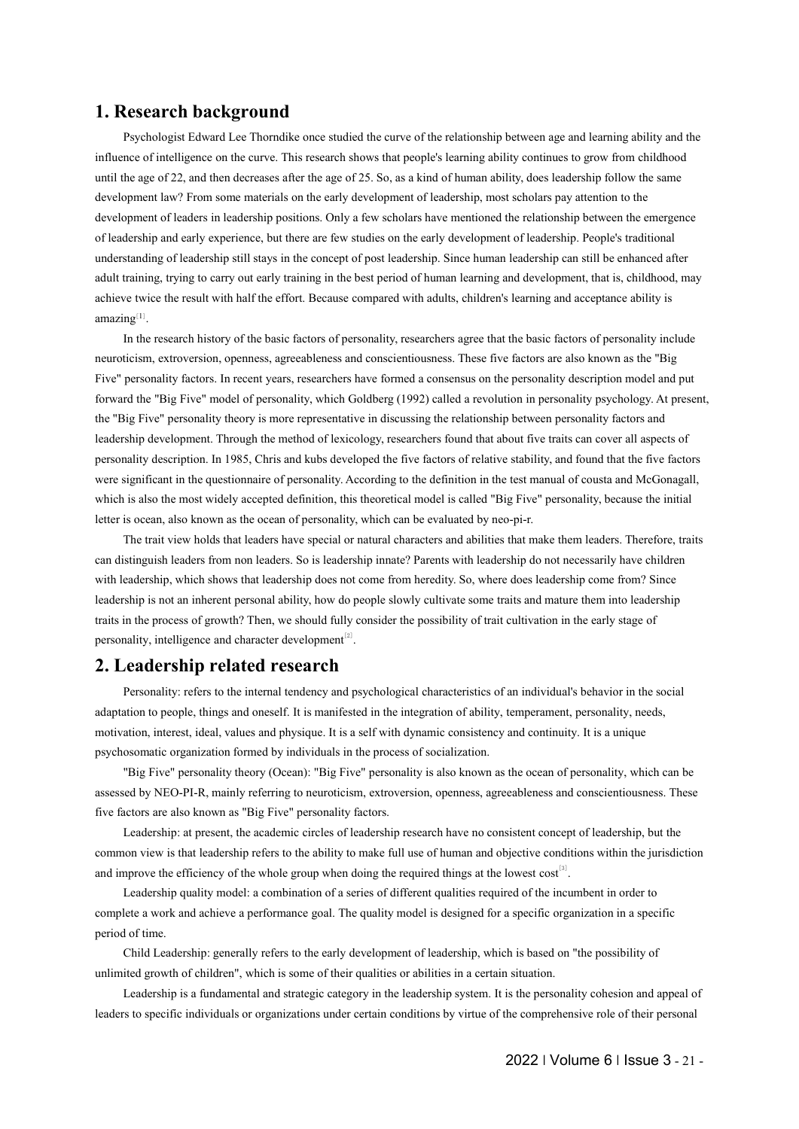**1. Research background**<br>Psychologist Edward Lee Thorndike once studied the curve of the relations<br>influence of intelligence on the curve. This research shows that people's learning<br>until the age of 22, and then decreases Psychologist Edward Lee Thorndike once studied the curve of the relationship between age and learning ability and the influence of intelligence on the curve. This research shows that people's learning ability continues to grow from childhood until the age of 22, and then decreases after the age of 25. So, as a kind of human ability, does leadership follow the same development law? From some materials on the early development of leadership, most scholars pay attention to the development of leaders in leadership positions. Only a few scholars have mentioned the relationship between the emergence of leadership and early experience, but there are few studies on the early development of leadership. People's traditional understanding of leadership still stays in the concept of post leadership. Since human leadership can still be enhanced after adult training, trying to carry out early training in the best period of human learning and development, that is, childhood, may achieve twice the result with half the effort. Because compared with adults, children's learning and acceptance ability is amazing[1].

In the research history of the basic factors of personality, researchers agree that the basic factors of personality include neuroticism, extroversion, openness, agreeableness and conscientiousness. These five factors are also known as the "Big Five" personality factors. In recent years, researchers have formed a consensus on the personality description model and put forward the "Big Five" model of personality, which Goldberg (1992) called a revolution in personality psychology. At present, the "Big Five" personality theory is more representative in discussing the relationship between personality factors and leadership development. Through the method of lexicology, researchers found that about five traits can cover all aspects of personality description. In 1985, Chris and kubs developed the five factors of relative stability, and found that the five factors were significant in the questionnaire of personality. According to the definition in the test manual of cousta and McGonagall, which is also the most widely accepted definition, this theoretical model is called "Big Five" personality, because the initial letter is ocean, also known as the ocean of personality, which can be evaluated by neo-pi-r. For the transmit process of growth? Then, we should fully consider the integration of the integration, interest, ideal, values and physique. It is a self with dynamic consistency and continual process that the "Big Five" p

The trait view holds that leaders have special or natural characters and abilities that make them leaders. Therefore, traits can distinguish leaders from non leaders. So is leadership innate? Parents with leadership do not necessarily have children with leadership, which shows that leadership does not come from heredity. So, where does leadership come from? Since leadership is not an inherent personal ability, how do people slowly cultivate some traits and mature them into leadership traits in the process of growth? Then, we should fully consider the possibility of trait cultivation in the early stage of personality, intelligence and character development $[2]$ .

Personality: refers to the internal tendency and psychological characteristics of an individual's behavior in the social adaptation to people, things and oneself. It is manifested in the integration of ability, temperament, personality, needs, motivation, interest, ideal, values and physique. It is a self with dynamic consistency and continuity. It is a unique psychosomatic organization formed by individuals in the process of socialization.

"Big Five" personality theory (Ocean): "Big Five" personality is also known as the ocean of personality, which can be assessed by NEO-PI-R, mainly referring to neuroticism, extroversion, openness, agreeableness and conscientiousness. These five factors are also known as "Big Five" personality factors.

Leadership: at present, the academic circles of leadership research have no consistent concept of leadership, but the common view is that leadership refers to the ability to make full use of human and objective conditions within the jurisdiction and improve the efficiency of the whole group when doing the required things at the lowest  $cost^{[3]}$ .

by by extractions within the jurisdiction<br>lowest cost<sup>[3]</sup>.<br>The dot of the incumbent in order to<br>a specific organization in a specific<br>the is based on "the possibility of<br>is the personality cohesion and appeal of<br>the compr Leadership quality model: a combination of a series of different qualities required of the incumbent in order to complete a work and achieve a performance goal. The quality model is designed for a specific organization in a specific period of time.

Child Leadership: generally refers to the early development of leadership, which is based on "the possibility of unlimited growth of children", which is some of their qualities or abilities in a certain situation.

Leadership is a fundamental and strategic category in the leadership system. It is the personality cohesion and appeal of leaders to specific individuals or organizations under certain conditions by virtue of the comprehensive role of their personal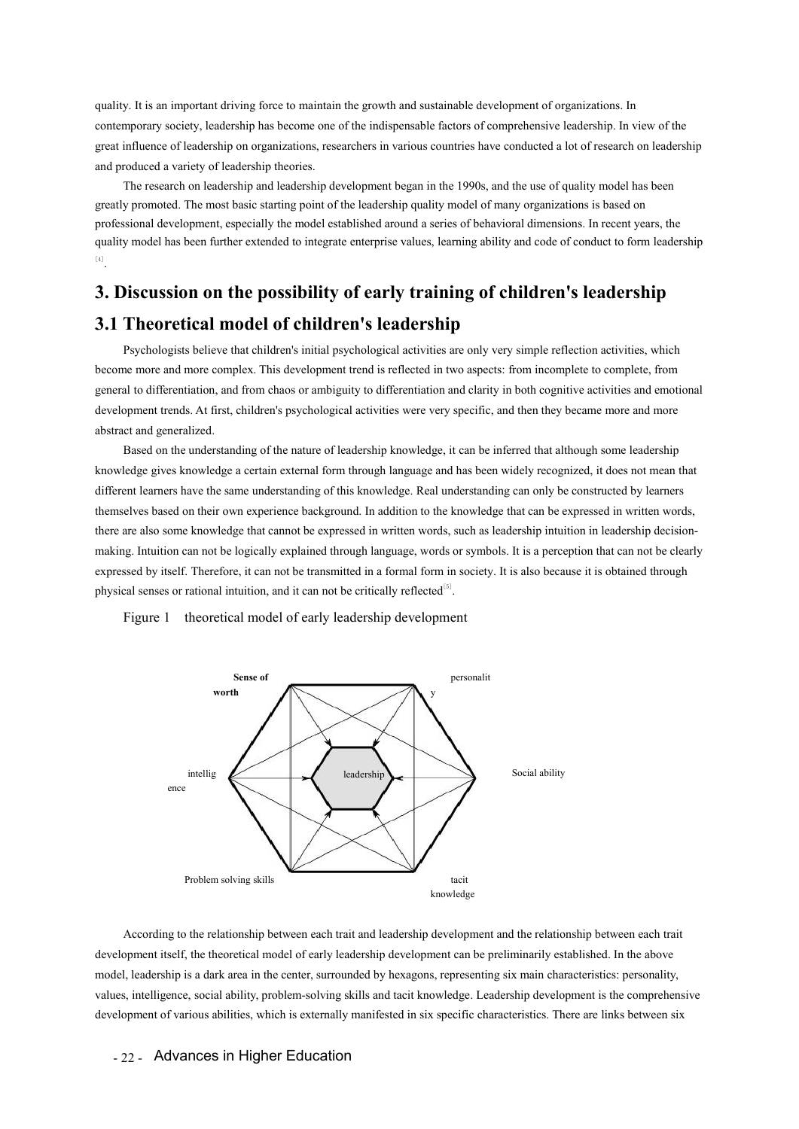quality. It is an important driving force to maintain the growth and sustainable development of organizations. In contemporary society, leadership has become one of the indispensable factors of comprehensive leadership. In view of the great influence of leadership on organizations, researchers in various countries have conducted a lot of research on leadership and produced a variety of leadership theories.

The research on leadership and leadership development began in the 1990s, and the use of quality model has been greatly promoted. The most basic starting point of the leadership quality model of many organizations is based on professional development, especially the model established around a series of behavioral dimensions. In recent years, the quality model has been further extended to integrate enterprise values, learning ability and code of conduct to form leadership [4] .

# **3. Discussion on the possibility of early training of children's leadership 3.1 Theoretical model of children's leadership**

Psychologists believe that children's initial psychological activities are only very simple reflection activities, which become more and more complex. This development trend is reflected in two aspects: from incomplete to complete, from general to differentiation, and from chaos or ambiguity to differentiation and clarity in both cognitive activities and emotional development trends. At first, children's psychological activities were very specific, and then they became more and more abstract and generalized.

Based on the understanding of the nature of leadership knowledge, it can be inferred that although some leadership knowledge gives knowledge a certain external form through language and has been widely recognized, it does not mean that different learners have the same understanding of this knowledge. Real understanding can only be constructed by learners themselves based on their own experience background. In addition to the knowledge that can be expressed in written words, there are also some knowledge that cannot be expressed in written words, such as leadership intuition in leadership decisionmaking. Intuition can not be logically explained through language, words or symbols. It is a perception that can not be clearly expressed by itself. Therefore, it can not be transmitted in a formal form in society. It is also because it is obtained through physical senses or rational intuition, and it can not be critically reflected $<sup>[5]</sup>$ .</sup> moment trends. At first, children's psychological activities were very specific, and then they became net and generalized.<br>
Based on the understanding of the nature of leadership knowledge, it can be inferred that although



Froblem solving skills<br>
Recording to the relationship between each trait and leadership development and the relationshelp<br>
elopment itself, the theoretical model of early leadership development can be preliminarily estable Problem solving skills<br>
Problem solving skills<br>
According to the relationship between each trait and leadership development and the relationship between each trait<br>
development itself, the theoretical model of early leader Froblem solving skills<br>
Froblem solving skills<br>
According to the relationship between each trait and leadership development and the relationship between each trait<br>
development itself, the theoretical model of early leader External of various abilities, which is externally manifested in six specific characteristics. There are links between each trait development itself, the theoretical model of early leadership development can be preliminari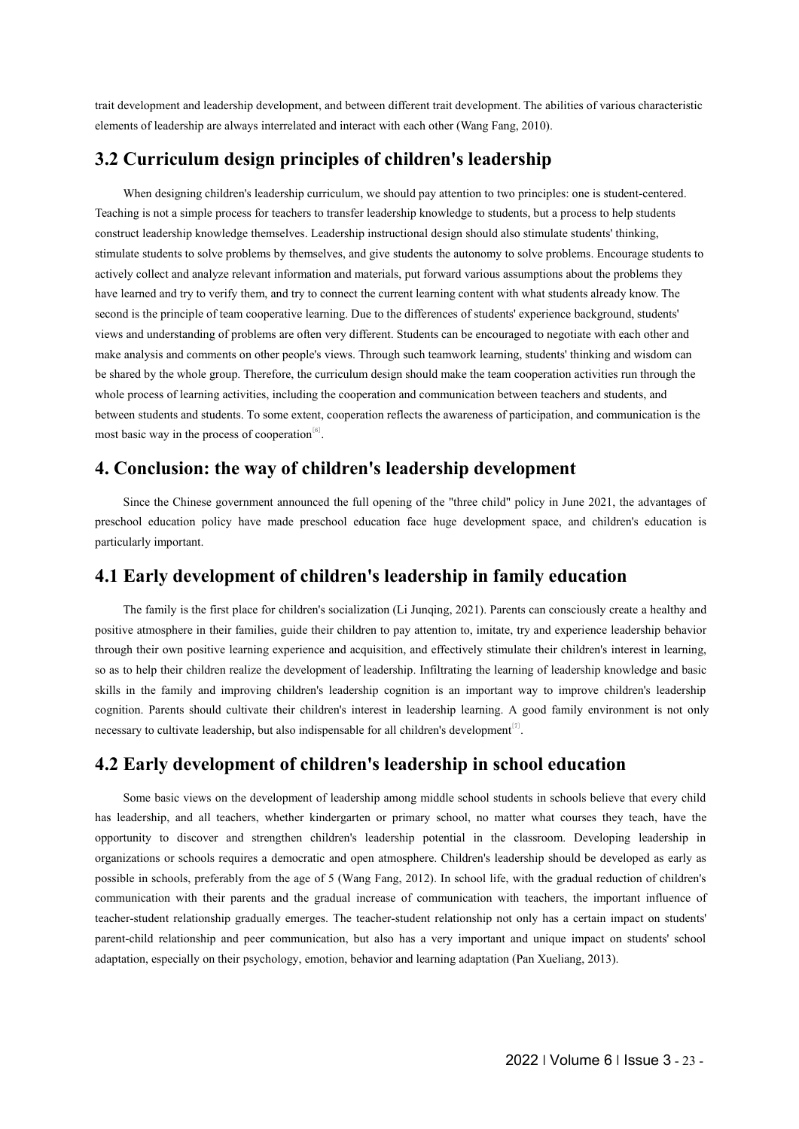trait development and leadership development, and between different trait development. The abilities of various characteristic elements of leadership are always interrelated and interact with each other (Wang Fang, 2010).

# **3.2 Curriculum design principles of children's leadership**

When designing children's leadership curriculum, we should pay attention to two principles: one is student-centered. Teaching is not a simple process for teachers to transfer leadership knowledge to students, but a process to help students construct leadership knowledge themselves. Leadership instructional design should also stimulate students' thinking, stimulate students to solve problems by themselves, and give students the autonomy to solve problems. Encourage students to actively collect and analyze relevant information and materials, put forward various assumptions about the problems they have learned and try to verify them, and try to connect the current learning content with what students already know. The second is the principle of team cooperative learning. Due to the differences of students' experience background, students' views and understanding of problems are often very different. Students can be encouraged to negotiate with each other and make analysis and comments on other people's views. Through such teamwork learning, students' thinking and wisdom can be shared by the whole group. Therefore, the curriculum design should make the team cooperation activities run through the whole process of learning activities, including the cooperation and communication between teachers and students, and between students and students. To some extent, cooperation reflects the awareness of participation, and communication is the most basic way in the process of cooperation<sup>[6]</sup>. When designing children's leadership curriculum, we should pay attention to two principles: one is student-centered.<br>Teaching is not a simple process for teachers to framsfer leadership knowledge to students, but a process

Since the Chinese government announced the full opening of the "three child" policy in June 2021, the advantages of preschool education policy have made preschool education face huge development space, and children's education is particularly important.

# **4.1 Early development of children's leadership in family education**

The family is the first place for children's socialization (Li Junqing, 2021). Parents can consciously create a healthy and positive atmosphere in their families, guide their children to pay attention to, imitate, try and experience leadership behavior through their own positive learning experience and acquisition, and effectively stimulate their children's interest in learning, so as to help their children realize the development of leadership. Infiltrating the learning of leadership knowledge and basic skills in the family and improving children's leadership cognition is an important way to improve children's leadership cognition. Parents should cultivate their children's interest in leadership learning. A good family environment is not only necessary to cultivate leadership, but also indispensable for all children's development $[7]$ .

# **4.2 Early development of children's leadership in school education**

Exassioon. Developing Teadership in adership should be developed as early as<br>
<sup>2</sup>, with the gradual reduction of children's<br>
ith teachers, the important influence of<br>
2010 to only has a certain impact on students'<br>
<sup>2</sup> and Some basic views on the development of leadership among middle school students in schools believe that every child has leadership, and all teachers, whether kindergarten or primary school, no matter what courses they teach, have the opportunity to discover and strengthen children's leadership potential in the classroom. Developing leadership in organizations or schools requires a democratic and open atmosphere. Children's leadership should be developed as early as possible in schools, preferably from the age of 5 (Wang Fang, 2012). In school life, with the gradual reduction of children's communication with their parents and the gradual increase of communication with teachers, the important influence of teacher-student relationship gradually emerges. The teacher-student relationship not only has a certain impact on students' parent-child relationship and peer communication, but also has a very important and unique impact on students' school adaptation, especially on their psychology, emotion, behavior and learning adaptation (Pan Xueliang, 2013).